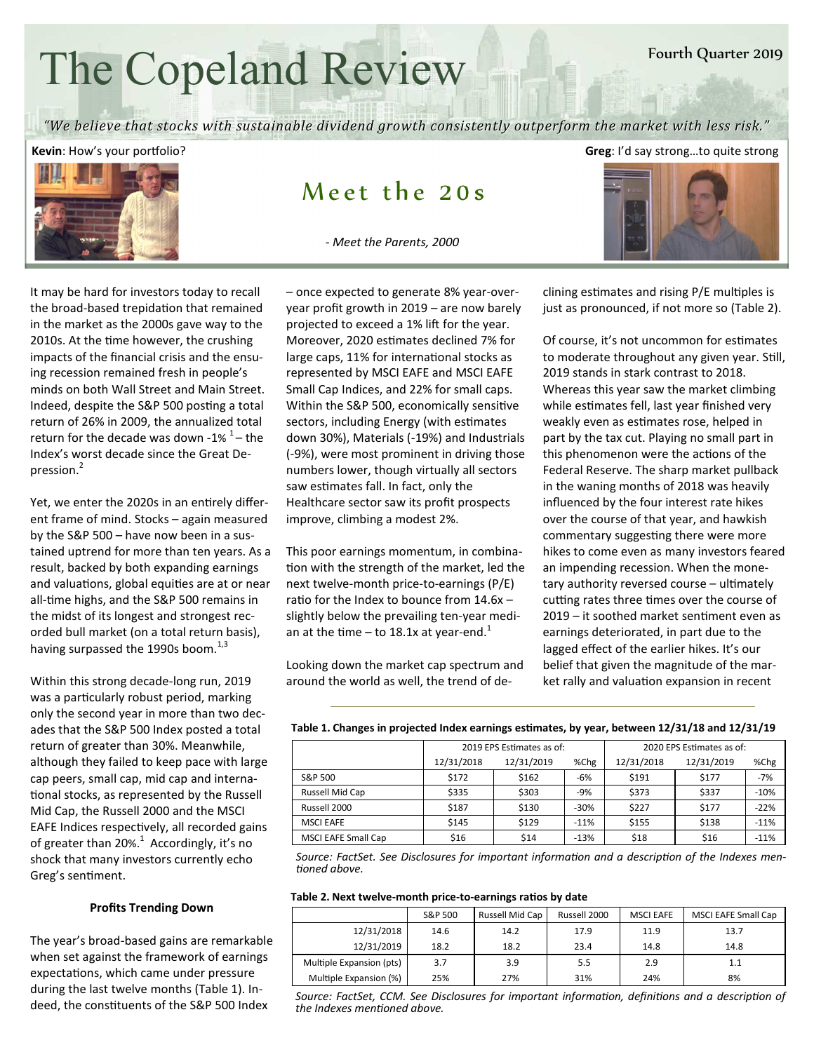# The Copeland Review

#### Fourth Quarter 2019

"We believe that stocks with sustainable dividend growth consistently outperform the market with less risk."

**Kevin**: How's your portfolio? **Greeg:** I'd say strong...to quite strong

## Meet the  $20s$

 *- Meet the Parents, 2000*



It may be hard for investors today to recall the broad-based trepidation that remained in the market as the 2000s gave way to the 2010s. At the time however, the crushing impacts of the financial crisis and the ensuing recession remained fresh in people's minds on both Wall Street and Main Street. Indeed, despite the S&P 500 posting a total return of 26% in 2009, the annualized total return for the decade was down -1%  $1-$  the Index's worst decade since the Great Depression.<sup>2</sup>

Yet, we enter the 2020s in an entirely different frame of mind. Stocks – again measured by the S&P 500 – have now been in a sustained uptrend for more than ten years. As a result, backed by both expanding earnings and valuations, global equities are at or near all-time highs, and the S&P 500 remains in the midst of its longest and strongest recorded bull market (on a total return basis), having surpassed the 1990s boom. $^{1,3}$ 

Within this strong decade-long run, 2019 was a particularly robust period, marking only the second year in more than two decades that the S&P 500 Index posted a total return of greater than 30%. Meanwhile, although they failed to keep pace with large cap peers, small cap, mid cap and interna tional stocks, as represented by the Russell Mid Cap, the Russell 2000 and the MSCI EAFE Indices respectively, all recorded gains of greater than 20%.<sup>1</sup> Accordingly, it's no shock that many investors currently echo Greg's sentiment.

#### **Profits Trending Down**

The year's broad-based gains are remarkable when set against the framework of earnings expectations, which came under pressure during the last twelve months (Table 1). Indeed, the constituents of the S&P 500 Index

– once expected to generate 8% year-overyear profit growth in 2019 – are now barely projected to exceed a 1% lift for the year. Moreover, 2020 estimates declined 7% for large caps, 11% for international stocks as represented by MSCI EAFE and MSCI EAFE Small Cap Indices, and 22% for small caps. Within the S&P 500, economically sensitive sectors, including Energy (with estimates down 30%), Materials (-19%) and Industrials (-9%), were most prominent in driving those numbers lower, though virtually all sectors saw estimates fall. In fact, only the Healthcare sector saw its profit prospects improve, climbing a modest 2%.

This poor earnings momentum, in combina tion with the strength of the market, led the next twelve-month price-to-earnings (P/E) ratio for the Index to bounce from  $14.6x$ slightly below the prevailing ten-year median at the time – to 18.1x at year-end.<sup>1</sup>

Looking down the market cap spectrum and around the world as well, the trend of declining estimates and rising P/E multiples is just as pronounced, if not more so (Table 2).

Of course, it's not uncommon for estimates to moderate throughout any given year. Still, 2019 stands in stark contrast to 2018. Whereas this year saw the market climbing while estimates fell, last year finished very weakly even as estimates rose, helped in part by the tax cut. Playing no small part in this phenomenon were the actions of the Federal Reserve. The sharp market pullback in the waning months of 2018 was heavily influenced by the four interest rate hikes over the course of that year, and hawkish commentary suggesting there were more hikes to come even as many investors feared an impending recession. When the monetary authority reversed course - ultimately cutting rates three times over the course of  $2019 -$  it soothed market sentiment even as earnings deteriorated, in part due to the lagged effect of the earlier hikes. It's our belief that given the magnitude of the market rally and valuation expansion in recent

|                            | 2019 EPS Estimates as of: |            |        | 2020 EPS Estimates as of: |            |        |
|----------------------------|---------------------------|------------|--------|---------------------------|------------|--------|
|                            | 12/31/2018                | 12/31/2019 | %Chg   | 12/31/2018                | 12/31/2019 | %Chg   |
| S&P 500                    | \$172                     | \$162      | $-6%$  | \$191                     | \$177      | $-7%$  |
| Russell Mid Cap            | \$335                     | \$303      | $-9%$  | \$373                     | \$337      | $-10%$ |
| Russell 2000               | \$187                     | \$130      | $-30%$ | \$227                     | \$177      | $-22%$ |
| <b>MSCI EAFE</b>           | \$145                     | \$129      | $-11%$ | \$155                     | \$138      | $-11%$ |
| <b>MSCI EAFE Small Cap</b> | \$16                      | \$14       | $-13%$ | \$18                      | \$16       | $-11%$ |

Table 1. Changes in projected Index earnings estimates, by year, between 12/31/18 and 12/31/19

*Source: FactSet. See Disclosures for important information and a description of the Indexes men* $t$ *ioned above.* 

#### Table 2. Next twelve-month price-to-earnings ratios by date

|                          | S&P 500 | Russell Mid Cap | Russell 2000 | <b>MSCI EAFE</b> | <b>MSCI EAFE Small Cap</b> |
|--------------------------|---------|-----------------|--------------|------------------|----------------------------|
| 12/31/2018               | 14.6    | 14.2            | 17.9         | 11.9             | 13.7                       |
| 12/31/2019               | 18.2    | 18.2            | 23.4         | 14.8             | 14.8                       |
| Multiple Expansion (pts) | 3.7     | 3.9             | 5.5          | 2.9              | 1.1                        |
| Multiple Expansion (%)   | 25%     | 27%             | 31%          | 24%              | 8%                         |

Source: FactSet, CCM. See Disclosures for important information, definitions and a description of the Indexes mentioned above.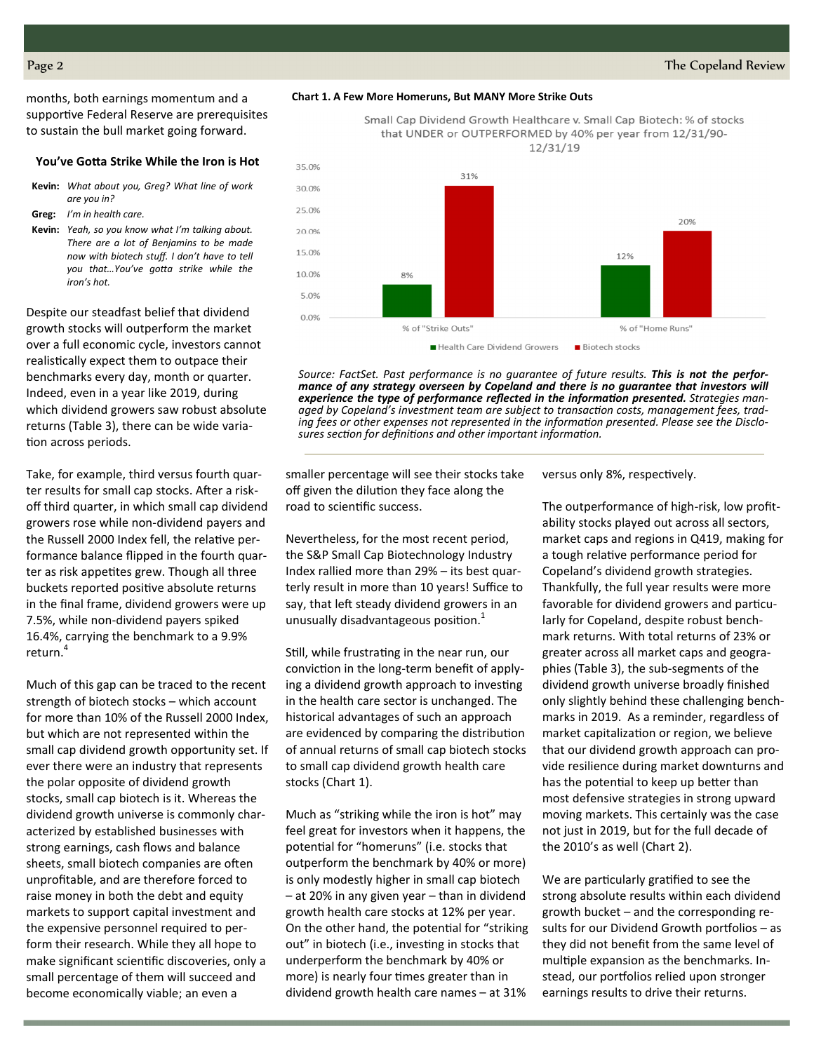months, both earnings momentum and a supportive Federal Reserve are prerequisites to sustain the bull market going forward.

#### **You've Gotta Strike While the Iron is Hot**

- **Kevin:** *What about you, Greg? What line of work are you in?*
- **Greg:** *I'm in health care.*
- **Kevin:** *Yeah, so you know what I'm talking about. There are a lot of Benjamins to be made now with biotech stuff. I don't have to tell*  you that...You've gotta strike while the *iron's hot.*

Despite our steadfast belief that dividend growth stocks will outperform the market over a full economic cycle, investors cannot realistically expect them to outpace their benchmarks every day, month or quarter. Indeed, even in a year like 2019, during which dividend growers saw robust absolute returns (Table 3), there can be wide varia tion across periods.

Take, for example, third versus fourth quarter results for small cap stocks. After a riskoff third quarter, in which small cap dividend growers rose while non-dividend payers and the Russell 2000 Index fell, the relative performance balance flipped in the fourth quarter as risk appetites grew. Though all three buckets reported positive absolute returns in the final frame, dividend growers were up 7.5%, while non-dividend payers spiked 16.4%, carrying the benchmark to a 9.9% return.<sup>4</sup>

Much of this gap can be traced to the recent strength of biotech stocks – which account for more than 10% of the Russell 2000 Index, but which are not represented within the small cap dividend growth opportunity set. If ever there were an industry that represents the polar opposite of dividend growth stocks, small cap biotech is it. Whereas the dividend growth universe is commonly characterized by established businesses with strong earnings, cash flows and balance sheets, small biotech companies are often unprofitable, and are therefore forced to raise money in both the debt and equity markets to support capital investment and the expensive personnel required to perform their research. While they all hope to make significant scientific discoveries, only a small percentage of them will succeed and become economically viable; an even a



Small Cap Dividend Growth Healthcare v. Small Cap Biotech: % of stocks that UNDER or OUTPERFORMED by 40% per year from 12/31/90-12/31/19



*Source: FactSet. Past performance is no guarantee of future results. This is not the performance of any strategy overseen by Copeland and there is no guarantee that investors will*  experience the type of performance reflected in the information presented. Strategies managed by Copeland's investment team are subject to transaction costs, management fees, trading fees or other expenses not represented in the information presented. Please see the Disclosures section for definitions and other important information.

smaller percentage will see their stocks take off given the dilution they face along the road to scientific success.

Nevertheless, for the most recent period, the S&P Small Cap Biotechnology Industry Index rallied more than 29% – its best quarterly result in more than 10 years! Suffice to say, that left steady dividend growers in an unusually disadvantageous position. $<sup>1</sup>$ </sup>

Still, while frustrating in the near run, our conviction in the long-term benefit of applying a dividend growth approach to investing in the health care sector is unchanged. The historical advantages of such an approach are evidenced by comparing the distribution of annual returns of small cap biotech stocks to small cap dividend growth health care stocks (Chart 1).

Much as "striking while the iron is hot" may feel great for investors when it happens, the potential for "homeruns" (i.e. stocks that outperform the benchmark by 40% or more) is only modestly higher in small cap biotech – at 20% in any given year – than in dividend growth health care stocks at 12% per year. On the other hand, the potential for "striking out" in biotech (i.e., investing in stocks that underperform the benchmark by 40% or more) is nearly four times greater than in dividend growth health care names – at 31%

versus only 8%, respectively.

The outperformance of high-risk, low profitability stocks played out across all sectors, market caps and regions in Q419, making for a tough relative performance period for Copeland's dividend growth strategies. Thankfully, the full year results were more favorable for dividend growers and particularly for Copeland, despite robust benchmark returns. With total returns of 23% or greater across all market caps and geographies (Table 3), the sub-segments of the dividend growth universe broadly finished only slightly behind these challenging benchmarks in 2019. As a reminder, regardless of market capitalization or region, we believe that our dividend growth approach can provide resilience during market downturns and has the potential to keep up better than most defensive strategies in strong upward moving markets. This certainly was the case not just in 2019, but for the full decade of the 2010's as well (Chart 2).

We are particularly gratified to see the strong absolute results within each dividend growth bucket – and the corresponding results for our Dividend Growth portfolios  $-$  as they did not benefit from the same level of multiple expansion as the benchmarks. Instead, our portfolios relied upon stronger earnings results to drive their returns.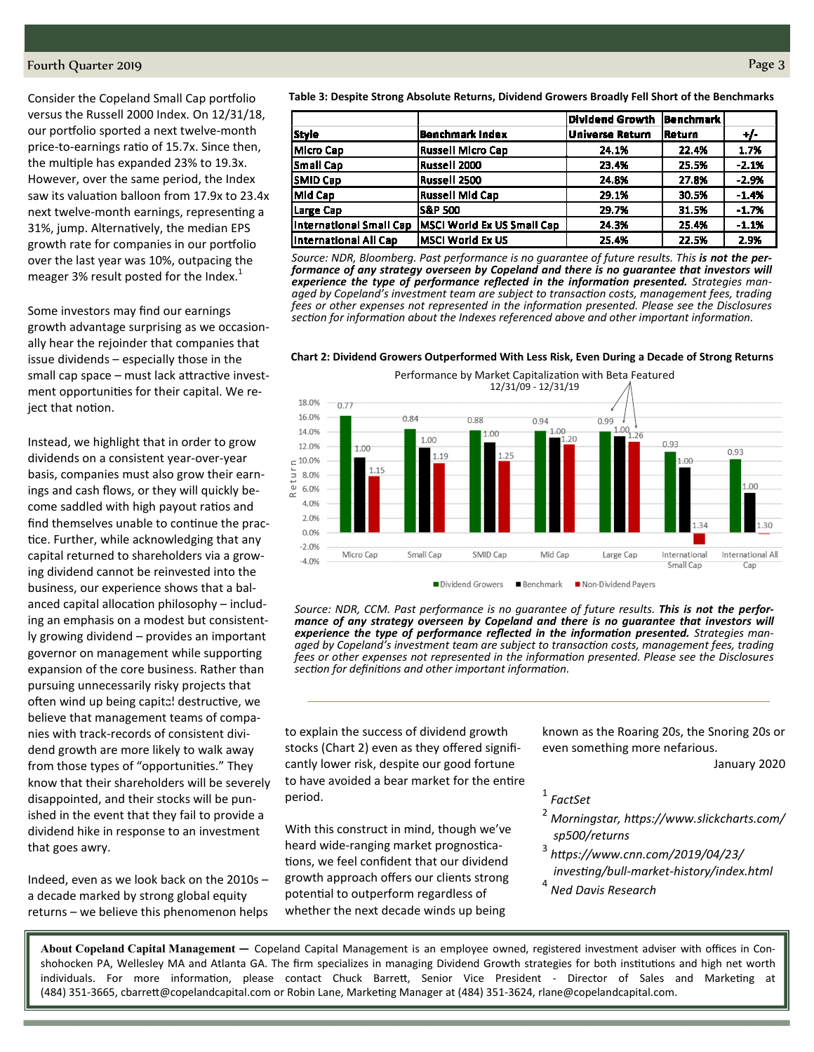#### FourthQuarter2019 Page3

Consider the Copeland Small Cap portfolio versus the Russell 2000 Index. On 12/31/18, our portfolio sported a next twelve-month price-to-earnings ratio of 15.7x. Since then, the multiple has expanded 23% to 19.3x. However, over the same period, the Index saw its valuation balloon from 17.9x to 23.4x next twelve-month earnings, representing a 31%, jump. Alternatively, the median EPS growth rate for companies in our portfolio over the last year was 10%, outpacing the meager 3% result posted for the Index.<sup>1</sup>

Some investors may find our earnings growth advantage surprising as we occasionally hear the rejoinder that companies that issue dividends – especially those in the small cap space – must lack attractive investment opportunities for their capital. We reject that notion.

Instead, we highlight that in order to grow dividends on a consistent year-over-year basis, companies must also grow their earnings and cash flows, or they will quickly become saddled with high payout ratios and find themselves unable to continue the practice. Further, while acknowledging that any capital returned to shareholders via a growing dividend cannot be reinvested into the business, our experience shows that a balanced capital allocation philosophy  $-$  including an emphasis on a modest but consistently growing dividend – provides an important governor on management while supporting expansion of the core business. Rather than pursuing unnecessarily risky projects that often wind up being capital destructive, we believe that management teams of companies with track-records of consistent dividend growth are more likely to walk away from those types of "opportunities." They know that their shareholders will be severely disappointed, and their stocks will be punished in the event that they fail to provide a dividend hike in response to an investment that goes awry.

Indeed, even as we look back on the 2010s – a decade marked by strong global equity returns – we believe this phenomenon helps

**Table 3: Despite Strong Absolute Returns, Dividend Growers Broadly Fell Short of the Benchmarks** 

|                         |                                    | Dividend Growth | <b>Benchmark</b> |         |
|-------------------------|------------------------------------|-----------------|------------------|---------|
| <b>Style</b>            | Benchmark Index                    | Universe Return | Return           | $+/-$   |
| Micro Cap               | Russell Micro Cap                  | 24.1%           | 22.4%            | 1.7%    |
| Small Cap               | Russell 2000                       | 23.4%           | 25.5%            | $-2.1%$ |
| <b>SMID Cap</b>         | Russell 2500                       | 24.8%           | 27.8%            | $-2.9%$ |
| Mid Cap                 | <b>Russell Mid Cap</b>             | 29.1%           | 30.5%            | $-1.4%$ |
| Large Cap               | IS&P 500                           | 29.7%           | 31.5%            | $-1.7%$ |
| International Small Cap | <b>IMSCI World Ex US Small Cap</b> | 24.3%           | 25.4%            | $-1.1%$ |
| International All Cap   | lMSCI World Ex US                  | 25.4%           | 22.5%            | 2.9%    |

Source: NDR, Bloomberg. Past performance is no quarantee of future results. This **is not the per***formance of any strategy overseen by Copeland and there is no guarantee that investors will*  experience the type of performance reflected in the information presented. Strategies man*aged by Copeland's investment team are subject to transaction costs, management fees, trading* fees or other expenses not represented in the information presented. Please see the Disclosures section for information about the Indexes referenced above and other important information.

#### **Chart 2: Dividend Growers Outperformed With Less Risk, Even During a Decade of Strong Returns**



*Source: NDR, CCM. Past performance is no guarantee of future results. This is not the performance of any strategy overseen by Copeland and there is no guarantee that investors will*  experience the type of performance reflected in the information presented. Strategies man*aged by Copeland's investment team are subject to transaction costs, management fees, trading fees or other expenses not represented in the information presented. Please see the Disclosures* section for definitions and other important information.

to explain the success of dividend growth stocks (Chart 2) even as they offered significantly lower risk, despite our good fortune to have avoided a bear market for the entire period.

With this construct in mind, though we've heard wide-ranging market prognostications, we feel confident that our dividend growth approach offers our clients strong potential to outperform regardless of whether the next decade winds up being

known as the Roaring 20s, the Snoring 20s or even something more nefarious.

January 2020

1  *FactSet* 

- 2  *Morningstar, h2ps://www.slickcharts.com/ sp500/returns*
- 3  *h2ps://www.cnn.com/2019/04/23/*  $investing/bull-marker-history/index.html$
- 4  *Ned Davis Research*

**About Copeland Capital Management —** Copeland Capital Management is an employee owned, registered investment adviser with offices in Conshohocken PA, Wellesley MA and Atlanta GA. The firm specializes in managing Dividend Growth strategies for both institutions and high net worth individuals. For more information, please contact Chuck Barrett, Senior Vice President - Director of Sales and Marketing at (484) 351-3665, cbarrett@copelandcapital.com or Robin Lane, Marketing Manager at (484) 351-3624, rlane@copelandcapital.com.